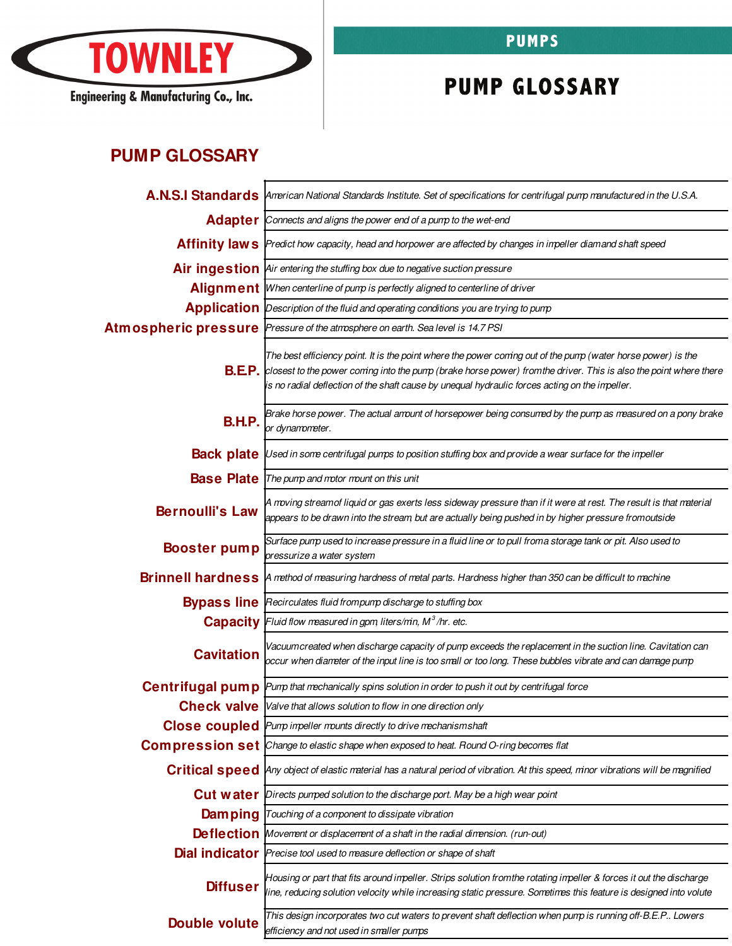

Engineering & Manufacturing Co., Inc.

## **PUMPS**

## **PUMP GLOSSARY**

## **PUMP GLOSSARY**

|                        | A.N.S.I Standards American National Standards Institute. Set of specifications for centrifugal pump manufactured in the U.S.A.                                                                                                                                                                                                                    |
|------------------------|---------------------------------------------------------------------------------------------------------------------------------------------------------------------------------------------------------------------------------------------------------------------------------------------------------------------------------------------------|
|                        | Adapter Connects and aligns the power end of a pump to the wet-end                                                                                                                                                                                                                                                                                |
|                        | Affinity laws Predict how capacity, head and horpower are affected by changes in impeller diamand shaft speed                                                                                                                                                                                                                                     |
|                        | Air ingestion Air entering the stuffing box due to negative suction pressure                                                                                                                                                                                                                                                                      |
|                        | Alignment When centerline of pump is perfectly aligned to centerline of driver                                                                                                                                                                                                                                                                    |
|                        | <b>Application</b> Description of the fluid and operating conditions you are trying to pump                                                                                                                                                                                                                                                       |
|                        | Atmospheric pressure Pressure of the atmosphere on earth. Sea level is 14.7 PSI                                                                                                                                                                                                                                                                   |
|                        | The best efficiency point. It is the point where the power coming out of the pump (water horse power) is the<br><b>B.E.P.</b> closest to the power coming into the pump (brake horse power) from the driver. This is also the point where there<br>is no radial deflection of the shaft cause by unequal hydraulic forces acting on the impeller. |
| <b>B.H.P.</b>          | Brake horse power. The actual amount of horsepower being consumed by the pump as measured on a pony brake<br>or dynamometer.                                                                                                                                                                                                                      |
|                        | <b>Back plate</b> Used in some centrifugal pumps to position stuffing box and provide a wear surface for the impeller                                                                                                                                                                                                                             |
|                        | <b>Base Plate</b> The pump and motor mount on this unit                                                                                                                                                                                                                                                                                           |
| <b>Bernoulli's Law</b> | A moving streamof liquid or gas exerts less sideway pressure than if it were at rest. The result is that material<br>appears to be drawn into the stream but are actually being pushed in by higher pressure fromoutside                                                                                                                          |
| <b>Booster pump</b>    | Surface pump used to increase pressure in a fluid line or to pull froma storage tank or pit. Also used to<br>pressurize a water system                                                                                                                                                                                                            |
|                        | Brinnell hardness A method of measuring hardness of metal parts. Hardness higher than 350 can be difficult to machine                                                                                                                                                                                                                             |
|                        | <b>Bypass line</b> Recirculates fluid frompump discharge to stuffing box                                                                                                                                                                                                                                                                          |
|                        | Capacity Fluid flow measured in gpm, liters/min, M <sup>3</sup> /hr. etc.                                                                                                                                                                                                                                                                         |
| <b>Cavitation</b>      | Vacuumcreated when discharge capacity of pump exceeds the replacement in the suction line. Cavitation can<br>occur when diameter of the input line is too small or too long. These bubbles vibrate and can damage pump                                                                                                                            |
|                        | <b>Centrifugal pump</b> Pump that mechanically spins solution in order to push it out by centrifugal force                                                                                                                                                                                                                                        |
|                        | <b>Check valve</b> Valve that allows solution to flow in one direction only                                                                                                                                                                                                                                                                       |
|                        | <b>Close coupled</b> Pump impeller mounts directly to drive mechanismshaft                                                                                                                                                                                                                                                                        |
|                        | <b>Compression set</b> Change to elastic shape when exposed to heat. Round O-ring becomes flat                                                                                                                                                                                                                                                    |
|                        | Critical speed Any object of elastic material has a natural period of vibration. At this speed, minor vibrations will be magnified                                                                                                                                                                                                                |
|                        | <b>Cut water</b> <i>Directs pumped solution to the discharge port. May be a high wear point</i>                                                                                                                                                                                                                                                   |
| <b>Damping</b>         | Touching of a component to dissipate vibration                                                                                                                                                                                                                                                                                                    |
|                        | <b>Deflection</b> Movement or displacement of a shaft in the radial dimension. (run-out)                                                                                                                                                                                                                                                          |
|                        | <b>Dial indicator</b> Precise tool used to measure deflection or shape of shaft                                                                                                                                                                                                                                                                   |
| <b>Diffuser</b>        | Housing or part that fits around impeller. Strips solution from the rotating impeller & forces it out the discharge<br>line, reducing solution velocity while increasing static pressure. Sometimes this feature is designed into volute                                                                                                          |
| Double volute          | This design incorporates two cut waters to prevent shaft deflection when pump is running off-B.E.P Lowers<br>efficiency and not used in smaller pumps                                                                                                                                                                                             |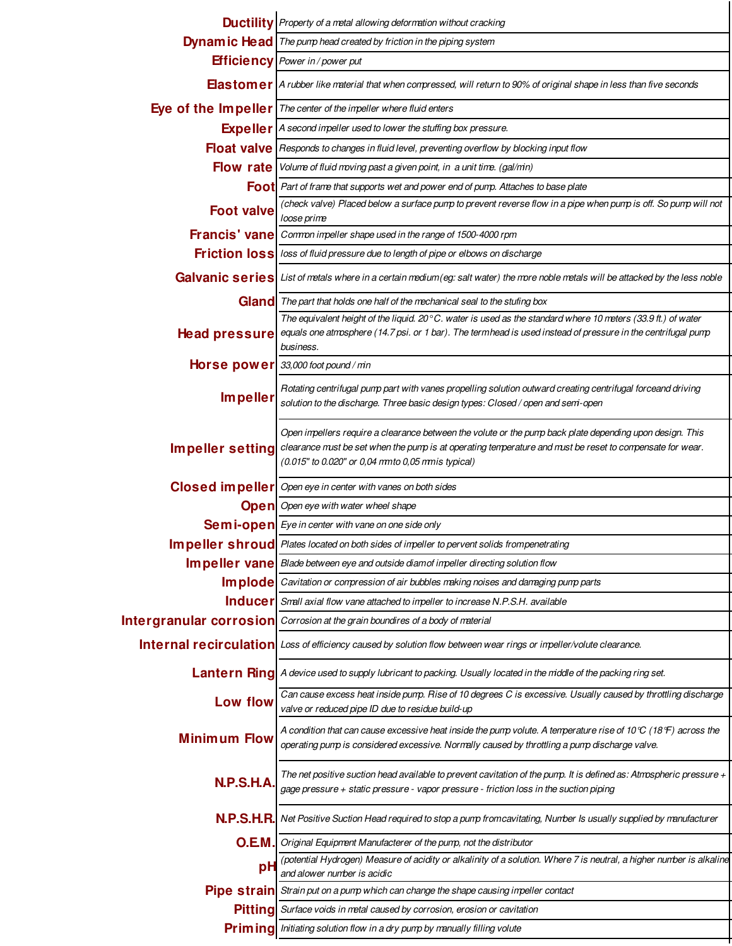|                         | <b>Ductility</b> Property of a metal allowing deformation without cracking                                                                                                                                                                                                 |
|-------------------------|----------------------------------------------------------------------------------------------------------------------------------------------------------------------------------------------------------------------------------------------------------------------------|
|                         | <b>Dynam ic Head</b>   The pump head created by friction in the piping system                                                                                                                                                                                              |
|                         | <b>Efficiency</b> Power in / power put                                                                                                                                                                                                                                     |
|                         | <b>Elastomer</b> A rubber like material that when compressed, will return to 90% of original shape in less than five seconds                                                                                                                                               |
|                         | <b>Eye of the Impeller</b> $\lceil$ The center of the impeller where fluid enters                                                                                                                                                                                          |
|                         | <b>Expeller</b>   A second impeller used to lower the stuffing box pressure.                                                                                                                                                                                               |
|                         | Float valve Responds to changes in fluid level, preventing overflow by blocking input flow                                                                                                                                                                                 |
|                         | Flow rate Volume of fluid moving past a given point, in a unit time. (gal/mn)                                                                                                                                                                                              |
|                         | <b>Foot</b> Part of frame that supports wet and power end of pump. Attaches to base plate                                                                                                                                                                                  |
| <b>Foot valve</b>       | (check valve) Placed below a surface pump to prevent reverse flow in a pipe when pump is off. So pump will not<br>loose prime                                                                                                                                              |
| <b>Francis' vane</b>    | Common impeller shape used in the range of 1500-4000 rpm                                                                                                                                                                                                                   |
|                         | <b>Friction loss</b> loss of fluid pressure due to length of pipe or elbows on discharge                                                                                                                                                                                   |
|                         | Galvanic series List of metals where in a certain medium (eg: salt water) the more noble metals will be attacked by the less noble                                                                                                                                         |
|                         | Gland The part that holds one half of the mechanical seal to the stufing box                                                                                                                                                                                               |
| <b>Head pressure</b>    | The equivalent height of the liquid. 20 $\degree$ C. water is used as the standard where 10 meters (33.9 ft.) of water<br>equals one atmosphere (14.7 psi. or 1 bar). The termhead is used instead of pressure in the centrifugal pump<br>business.                        |
| Horse power             | 33,000 foot pound / min                                                                                                                                                                                                                                                    |
| <b>Impeller</b>         | Rotating centrifugal pump part with vanes propelling solution outward creating centrifugal forceand driving<br>solution to the discharge. Three basic design types: Closed / open and semi-open                                                                            |
| Impeller setting        | Open impellers require a clearance between the volute or the pump back plate depending upon design. This<br>clearance must be set when the pump is at operating temperature and must be reset to compensate for wear.<br>(0.015" to 0.020" or 0,04 mmto 0,05 mmis typical) |
|                         |                                                                                                                                                                                                                                                                            |
| <b>Closed impeller</b>  | Open eye in center with vanes on both sides                                                                                                                                                                                                                                |
|                         | <b>Open</b> Open eye with water wheel shape                                                                                                                                                                                                                                |
|                         | <b>Semi-open</b> Eye in center with vane on one side only                                                                                                                                                                                                                  |
|                         | Im peller shroud Plates located on both sides of impeller to pervent solids frompenetrating                                                                                                                                                                                |
|                         | Im peller vane Blade between eye and outside diamof impeller directing solution flow                                                                                                                                                                                       |
| <b>Implode</b>          | Cavitation or compression of air bubbles making noises and damaging pump parts                                                                                                                                                                                             |
| <b>Inducer</b>          | Small axial flow vane attached to impeller to increase N.P.S.H. available                                                                                                                                                                                                  |
|                         | Corrosion at the grain boundires of a body of material                                                                                                                                                                                                                     |
| Internal recirculation  | Loss of efficiency caused by solution flow between wear rings or impeller/volute clearance.                                                                                                                                                                                |
| <b>Lantern Ring</b>     | A device used to supply lubricant to packing. Usually located in the middle of the packing ring set.                                                                                                                                                                       |
| Low flow                | Can cause excess heat inside pump. Rise of 10 degrees C is excessive. Usually caused by throttling discharge<br>valve or reduced pipe ID due to residue build-up                                                                                                           |
| <b>Minimum Flow</b>     | A condition that can cause excessive heat inside the pump volute. A temperature rise of 10 $\mathbb C$ (18 $\mathbb F$ ) across the<br>operating pump is considered excessive. Normally caused by throttling a pump discharge valve.                                       |
| N.P.S.H.A               | The net positive suction head available to prevent cavitation of the pump. It is defined as: Atmospheric pressure +<br>gage pressure + static pressure - vapor pressure - friction loss in the suction piping                                                              |
| <b>N.P.S.H.R.</b>       | Net Positive Suction Head required to stop a pump fromcavitating, Number Is usually supplied by manufacturer                                                                                                                                                               |
| O.EM.                   | Original Equipment Manufacterer of the pump, not the distributor                                                                                                                                                                                                           |
| pH                      | (potential Hydrogen) Measure of acidity or alkalinity of a solution. Where 7 is neutral, a higher nunber is alkaline                                                                                                                                                       |
| Intergranular corrosion | and alower number is acidic<br><b>Pipe strain</b> Strain put on a pump which can change the shape causing impeller contact                                                                                                                                                 |
| <b>Pitting</b>          | Surface voids in metal caused by corrosion, erosion or cavitation                                                                                                                                                                                                          |